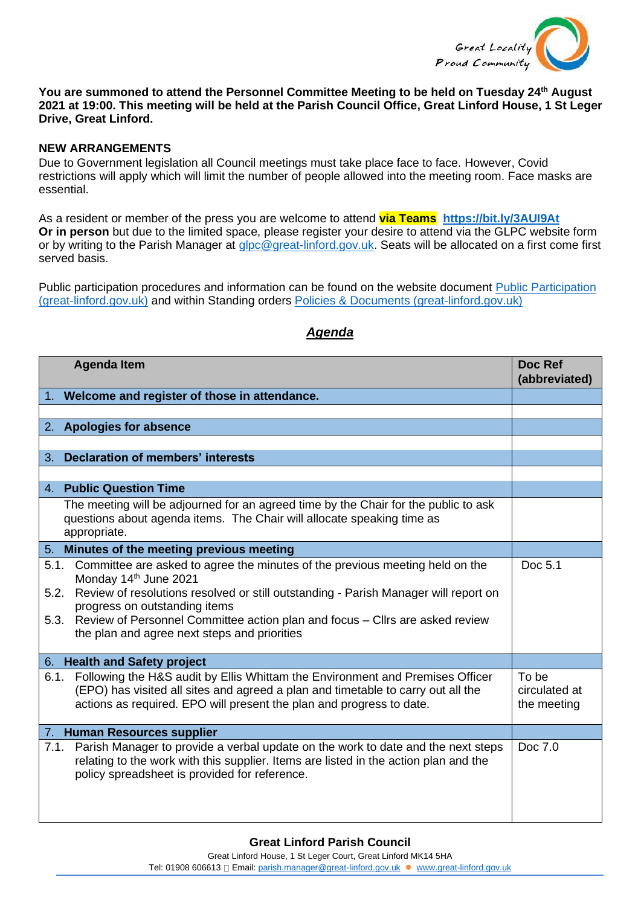

## **You are summoned to attend the Personnel Committee Meeting to be held on Tuesday 24th August 2021 at 19:00. This meeting will be held at the Parish Council Office, Great Linford House, 1 St Leger Drive, Great Linford.**

## **NEW ARRANGEMENTS**

Due to Government legislation all Council meetings must take place face to face. However, Covid restrictions will apply which will limit the number of people allowed into the meeting room. Face masks are essential.

As a resident or member of the press you are welcome to attend **via Teams <https://bit.ly/3AUI9At> Or in person** but due to the limited space, please register your desire to attend via the GLPC website form or by writing to the Parish Manager at [glpc@great-linford.gov.uk.](mailto:glpc@great-linford.gov.uk) Seats will be allocated on a first come first served basis.

Public participation procedures and information can be found on the website document Public Participation [\(great-linford.gov.uk\)](https://www.great-linford.gov.uk/council-meetings/public-participation/) and within Standing orders [Policies & Documents \(great-linford.gov.uk\)](https://www.great-linford.gov.uk/the-parish-council/policies-documents/)

|                              | <b>Agenda Item</b>                                                                                                                                                                                                                                                                                                                                                        | Doc Ref<br>(abbreviated)              |
|------------------------------|---------------------------------------------------------------------------------------------------------------------------------------------------------------------------------------------------------------------------------------------------------------------------------------------------------------------------------------------------------------------------|---------------------------------------|
|                              | 1. Welcome and register of those in attendance.                                                                                                                                                                                                                                                                                                                           |                                       |
|                              |                                                                                                                                                                                                                                                                                                                                                                           |                                       |
|                              | 2. Apologies for absence                                                                                                                                                                                                                                                                                                                                                  |                                       |
|                              |                                                                                                                                                                                                                                                                                                                                                                           |                                       |
|                              | 3. Declaration of members' interests                                                                                                                                                                                                                                                                                                                                      |                                       |
|                              | 4. Public Question Time                                                                                                                                                                                                                                                                                                                                                   |                                       |
|                              | The meeting will be adjourned for an agreed time by the Chair for the public to ask<br>questions about agenda items. The Chair will allocate speaking time as<br>appropriate.                                                                                                                                                                                             |                                       |
|                              | 5. Minutes of the meeting previous meeting                                                                                                                                                                                                                                                                                                                                |                                       |
| 5.1.<br>5.2.<br>5.3.         | Committee are asked to agree the minutes of the previous meeting held on the<br>Monday 14 <sup>th</sup> June 2021<br>Review of resolutions resolved or still outstanding - Parish Manager will report on<br>progress on outstanding items<br>Review of Personnel Committee action plan and focus - Cllrs are asked review<br>the plan and agree next steps and priorities | Doc 5.1                               |
| 6. Health and Safety project |                                                                                                                                                                                                                                                                                                                                                                           |                                       |
| 6.1.                         | Following the H&S audit by Ellis Whittam the Environment and Premises Officer<br>(EPO) has visited all sites and agreed a plan and timetable to carry out all the<br>actions as required. EPO will present the plan and progress to date.                                                                                                                                 | To be<br>circulated at<br>the meeting |
| 7. Human Resources supplier  |                                                                                                                                                                                                                                                                                                                                                                           |                                       |
| 7.1.                         | Parish Manager to provide a verbal update on the work to date and the next steps<br>relating to the work with this supplier. Items are listed in the action plan and the<br>policy spreadsheet is provided for reference.                                                                                                                                                 | Doc 7.0                               |

## *Agenda*